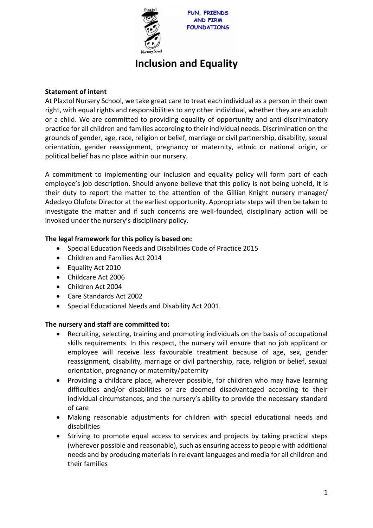

# **Inclusion and Equality**

## **Statement of intent**

At Plaxtol Nursery School, we take great care to treat each individual as a person in their own right, with equal rights and responsibilities to any other individual, whether they are an adult or a child. We are committed to providing equality of opportunity and anti-discriminatory practice for all children and families according to their individual needs. Discrimination on the grounds of gender, age, race, religion or belief, marriage or civil partnership, disability, sexual orientation, gender reassignment, pregnancy or maternity, ethnic or national origin, or political belief has no place within our nursery.

A commitment to implementing our inclusion and equality policy will form part of each employee's job description. Should anyone believe that this policy is not being upheld, it is their duty to report the matter to the attention of the Gillian Knight nursery manager/ Adedayo Olufote Director at the earliest opportunity. Appropriate steps will then be taken to investigate the matter and if such concerns are well-founded, disciplinary action will be invoked under the nursery's disciplinary policy.

# **The legal framework for this policy is based on:**

- Special Education Needs and Disabilities Code of Practice 2015
- Children and Families Act 2014
- Equality Act 2010
- Childcare Act 2006
- Children Act 2004
- Care Standards Act 2002
- Special Educational Needs and Disability Act 2001.

### **The nursery and staff are committed to:**

- Recruiting, selecting, training and promoting individuals on the basis of occupational skills requirements. In this respect, the nursery will ensure that no job applicant or employee will receive less favourable treatment because of age, sex, gender reassignment, disability, marriage or civil partnership, race, religion or belief, sexual orientation, pregnancy or maternity/paternity
- Providing a childcare place, wherever possible, for children who may have learning difficulties and/or disabilities or are deemed disadvantaged according to their individual circumstances, and the nursery's ability to provide the necessary standard of care
- Making reasonable adjustments for children with special educational needs and disabilities
- Striving to promote equal access to services and projects by taking practical steps (wherever possible and reasonable), such as ensuring access to people with additional needs and by producing materials in relevant languages and media for all children and their families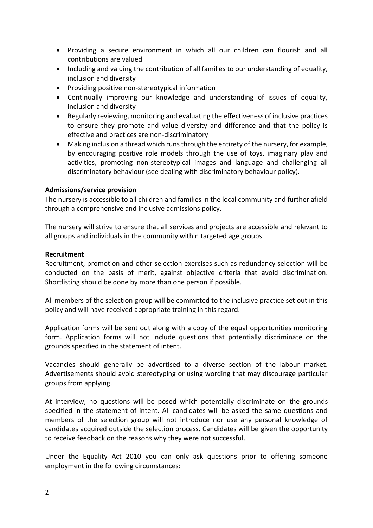- Providing a secure environment in which all our children can flourish and all contributions are valued
- Including and valuing the contribution of all families to our understanding of equality, inclusion and diversity
- Providing positive non-stereotypical information
- Continually improving our knowledge and understanding of issues of equality, inclusion and diversity
- Regularly reviewing, monitoring and evaluating the effectiveness of inclusive practices to ensure they promote and value diversity and difference and that the policy is effective and practices are non-discriminatory
- Making inclusion a thread which runs through the entirety of the nursery, for example, by encouraging positive role models through the use of toys, imaginary play and activities, promoting non-stereotypical images and language and challenging all discriminatory behaviour (see dealing with discriminatory behaviour policy).

#### **Admissions/service provision**

The nursery is accessible to all children and families in the local community and further afield through a comprehensive and inclusive admissions policy.

The nursery will strive to ensure that all services and projects are accessible and relevant to all groups and individuals in the community within targeted age groups.

#### **Recruitment**

Recruitment, promotion and other selection exercises such as redundancy selection will be conducted on the basis of merit, against objective criteria that avoid discrimination. Shortlisting should be done by more than one person if possible.

All members of the selection group will be committed to the inclusive practice set out in this policy and will have received appropriate training in this regard.

Application forms will be sent out along with a copy of the equal opportunities monitoring form. Application forms will not include questions that potentially discriminate on the grounds specified in the statement of intent.

Vacancies should generally be advertised to a diverse section of the labour market. Advertisements should avoid stereotyping or using wording that may discourage particular groups from applying.

At interview, no questions will be posed which potentially discriminate on the grounds specified in the statement of intent. All candidates will be asked the same questions and members of the selection group will not introduce nor use any personal knowledge of candidates acquired outside the selection process. Candidates will be given the opportunity to receive feedback on the reasons why they were not successful.

Under the Equality Act 2010 you can only ask questions prior to offering someone employment in the following circumstances: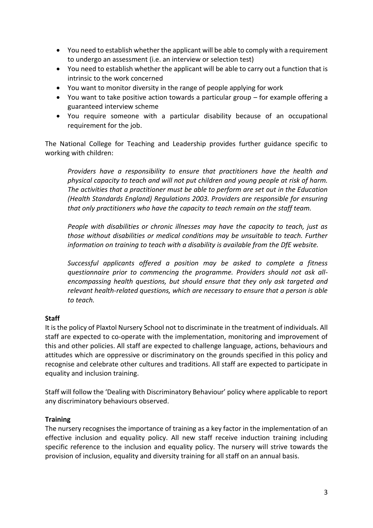- You need to establish whether the applicant will be able to comply with a requirement to undergo an assessment (i.e. an interview or selection test)
- You need to establish whether the applicant will be able to carry out a function that is intrinsic to the work concerned
- You want to monitor diversity in the range of people applying for work
- You want to take positive action towards a particular group for example offering a guaranteed interview scheme
- You require someone with a particular disability because of an occupational requirement for the job.

The National College for Teaching and Leadership provides further guidance specific to working with children:

*Providers have a responsibility to ensure that practitioners have the health and physical capacity to teach and will not put children and young people at risk of harm. The activities that a practitioner must be able to perform are set out in the Education (Health Standards England) Regulations 2003. Providers are responsible for ensuring that only practitioners who have the capacity to teach remain on the staff team.*

*People with disabilities or chronic illnesses may have the capacity to teach, just as those without disabilities or medical conditions may be unsuitable to teach. Further information on training to teach with a disability is available from the DfE website.*

*Successful applicants offered a position may be asked to complete a fitness questionnaire prior to commencing the programme. Providers should not ask allencompassing health questions, but should ensure that they only ask targeted and relevant health-related questions, which are necessary to ensure that a person is able to teach.*

### **Staff**

It is the policy of Plaxtol Nursery School not to discriminate in the treatment of individuals. All staff are expected to co-operate with the implementation, monitoring and improvement of this and other policies. All staff are expected to challenge language, actions, behaviours and attitudes which are oppressive or discriminatory on the grounds specified in this policy and recognise and celebrate other cultures and traditions. All staff are expected to participate in equality and inclusion training.

Staff will follow the 'Dealing with Discriminatory Behaviour' policy where applicable to report any discriminatory behaviours observed.

### **Training**

The nursery recognises the importance of training as a key factor in the implementation of an effective inclusion and equality policy. All new staff receive induction training including specific reference to the inclusion and equality policy. The nursery will strive towards the provision of inclusion, equality and diversity training for all staff on an annual basis.